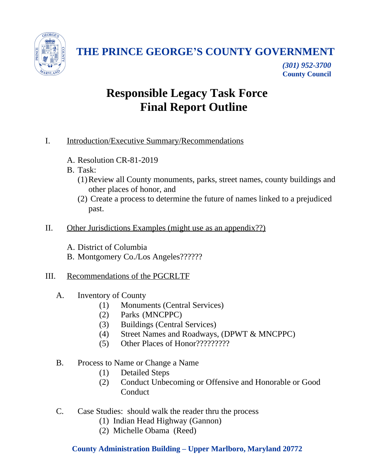

## **THE PRINCE GEORGE'S COUNTY GOVERNMENT**

*(301) 952-3700* **County Council**

## **Responsible Legacy Task Force Final Report Outline**

- I. Introduction/Executive Summary/Recommendations
	- A. Resolution CR-81-2019
	- B. Task:
		- (1)Review all County monuments, parks, street names, county buildings and other places of honor, and
		- (2) Create a process to determine the future of names linked to a prejudiced past.
- II. Other Jurisdictions Examples (might use as an appendix??)
	- A. District of Columbia
	- B. Montgomery Co./Los Angeles??????

## III. Recommendations of the PGCRLTF

- A. Inventory of County
	- (1) Monuments (Central Services)
	- (2) Parks (MNCPPC)
	- (3) Buildings (Central Services)
	- (4) Street Names and Roadways, (DPWT & MNCPPC)
	- (5) Other Places of Honor?????????
- B. Process to Name or Change a Name
	- (1) Detailed Steps
	- (2) Conduct Unbecoming or Offensive and Honorable or Good Conduct
- C. Case Studies: should walk the reader thru the process
	- (1) Indian Head Highway (Gannon)
	- (2) Michelle Obama (Reed)